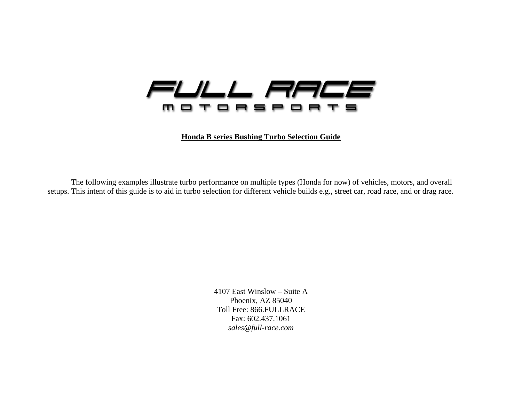

**Honda B series Bushing Turbo Selection Guide**

The following examples illustrate turbo performance on multiple types (Honda for now) of vehicles, motors, and overall setups. This intent of this guide is to aid in turbo selection for different vehicle builds e.g., street car, road race, and or drag race.

> 4107 East Winslow – Suite A Phoenix, AZ 85040 Toll Free: 866.FULLRACE Fax: 602.437.1061 *sales@full-race.com*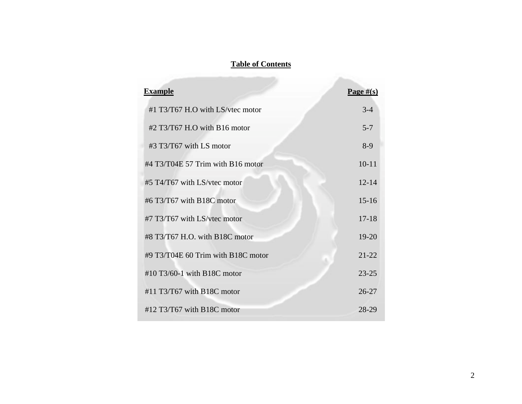#### **Table of Contents**

| <b>Example</b>                       | Page $\#(s)$ |
|--------------------------------------|--------------|
| #1 T3/T67 H.O with LS/vtec motor     | $3 - 4$      |
| $\#2$ T3/T67 H.O with B16 motor      | $5 - 7$      |
| $\#3$ T3/T67 with LS motor           | $8-9$        |
| $\#4$ T3/T04E 57 Trim with B16 motor | $10 - 11$    |
| #5 T4/T67 with LS/vtec motor         | $12 - 14$    |
| $\#6$ T3/T67 with B18C motor         | $15 - 16$    |
| #7 T3/T67 with LS/ytec motor         | $17 - 18$    |
| #8 T3/T67 H.O. with B18C motor       | $19 - 20$    |
| #9 T3/T04E 60 Trim with B18C motor   | $21 - 22$    |
| #10 T3/60-1 with B18C motor          | $23 - 25$    |
| $\#11$ T3/T67 with B18C motor        | $26 - 27$    |
| $\#12$ T3/T67 with B18C motor        | 28-29        |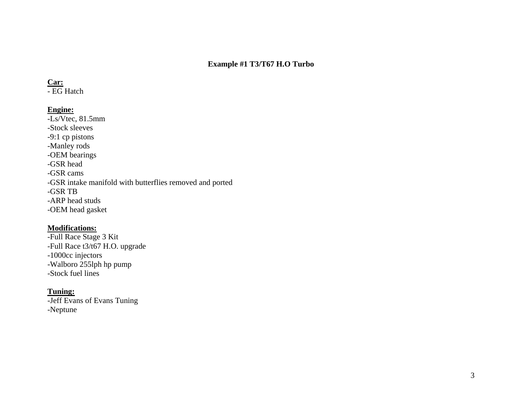### **Example #1 T3/T67 H.O Turbo**

#### **Car:**

- EG Hatch

### **Engine:**

 $\overline{-Ls/Vtec}$ , 81.5mm -Stock sleeves -9:1 cp pistons -Manley rods -OEM bearings -GSR head -GSR cams -GSR intake manifold with butterflies removed and ported -GSR TB -ARP head studs -OEM head gasket

#### **Modifications:**

-Full Race Stage 3 Kit -Full Race t3/t67 H.O. upgrade -1000cc injectors -Walboro 255lph hp pump -Stock fuel lines

### **Tuning:**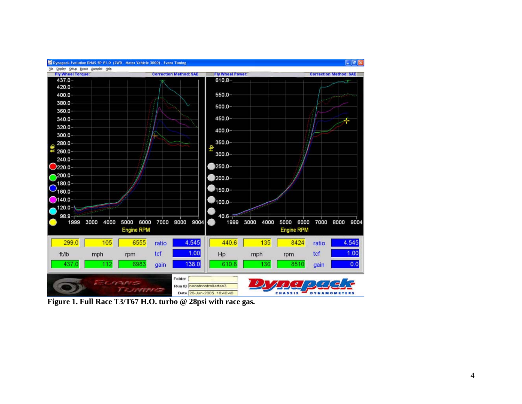

Elle Display Setup Reset Autoplot Help



 $\Box$   $\Box$   $\times$ 

Figure 1. Full Race T3/T67 H.O. turbo @ 28psi with race gas.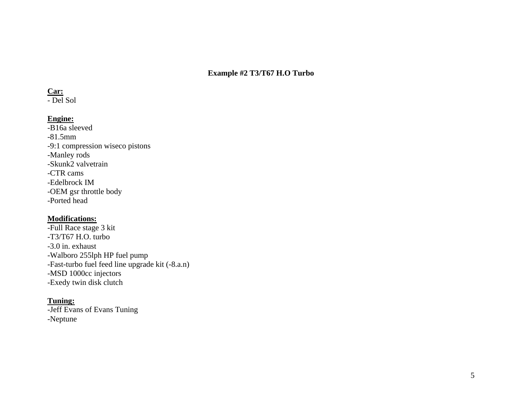# **Example #2 T3/T67 H.O Turbo**

#### **Car:**

- Del Sol

### **Engine:**

-B16a sleeved -81.5mm -9:1 compression wiseco pistons -Manley rods -Skunk2 valvetrain -CTR cams-Edelbrock IM -OEM gsr throttle body -Ported head

#### **Modifications:**

-Full Race stage 3 kit -T3/T67 H.O. turbo -3.0 in. exhaust -Walboro 255lph HP fuel pump -Fast-turbo fuel feed line upgrade kit (-8.a.n) -MSD 1000cc injectors -Exedy twin disk clutch

#### **Tuning:**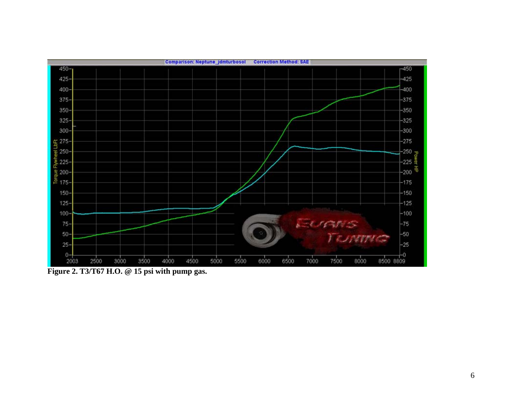

Figure 2. T3/T67 H.O. @ 15 psi with pump gas.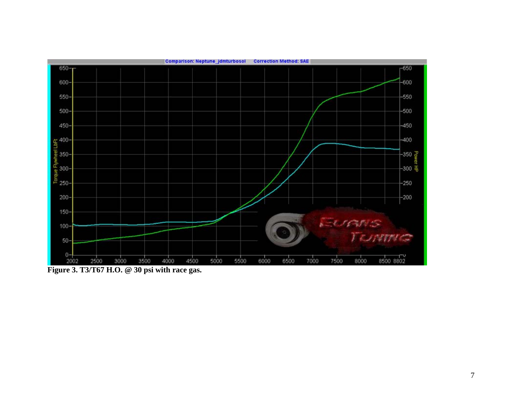

Figure 3. T3/T67 H.O. @ 30 psi with race gas.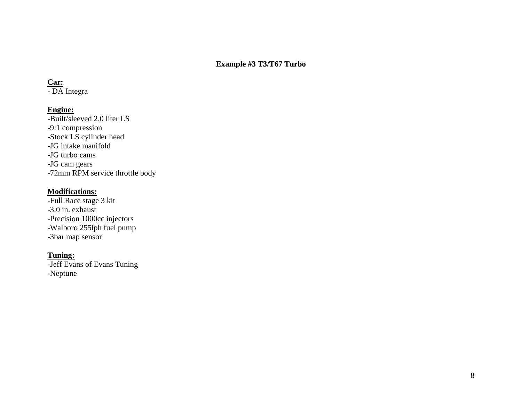### **Example #3 T3/T67 Turbo**

#### **Car:**

- DA Integra

### **Engine:**

-Built/sleeved 2.0 liter LS -9:1 compression -Stock LS cylinder head -JG intake manifold -JG turbo cams-JG cam gears -72mm RPM service throttle body

#### **Modifications:**

-Full Race stage 3 kit -3.0 in. exhaust -Precision 1000cc injectors -Walboro 255lph fuel pump -3bar map sensor

### **Tuning:**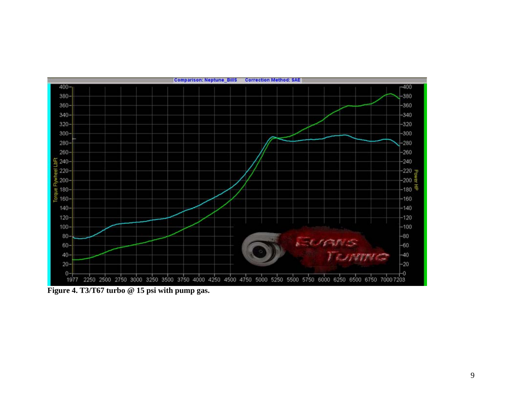

**Figure 4. T3/T67 turbo @ 15 psi with pump gas.**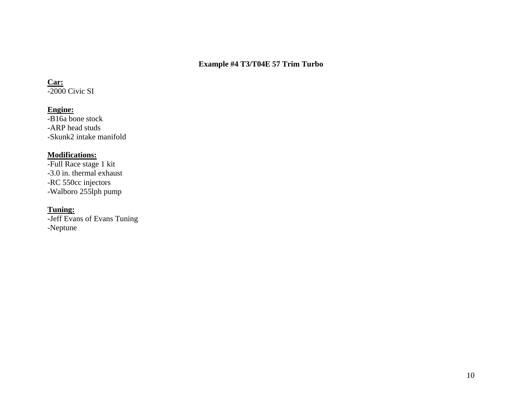### **Example #4 T3/T04E 57 Trim Turbo**

# **Car:**

-2000 Civic SI

# **Engine:**

-B16a bone stock -ARP head studs -Skunk2 intake manifold

### **Modifications:**

-Full Race stage 1 kit -3.0 in. thermal exhaust -RC 550cc injectors -Walboro 255lph pump

### **Tuning:**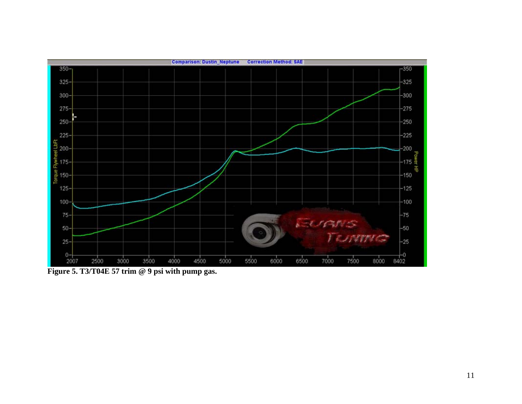

Figure 5. T3/T04E 57 trim @ 9 psi with pump gas.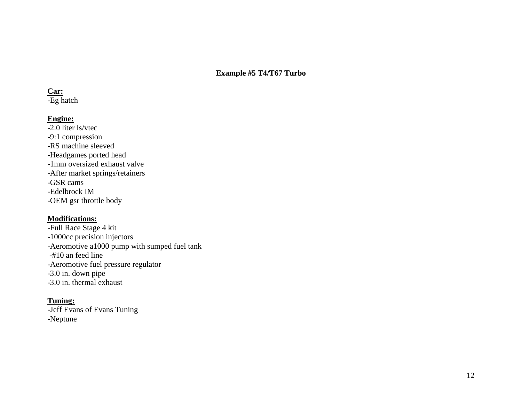**Example #5 T4/T67 Turbo** 

#### **Car:**

-Eg hatch

### **Engine:**

-2.0 liter ls/vtec -9:1 compression -RS machine sleeved -Headgames ported head -1mm oversized exhaust valve -After market springs/retainers -GSR cams-Edelbrock IM -OEM gsr throttle body

### **Modifications:**

-Full Race Stage 4 kit -1000cc precision injectors -Aeromotive a1000 pump with sumped fuel tank -#10 an feed line -Aeromotive fuel pressure regulator -3.0 in. down pipe -3.0 in. thermal exhaust

### **Tuning:**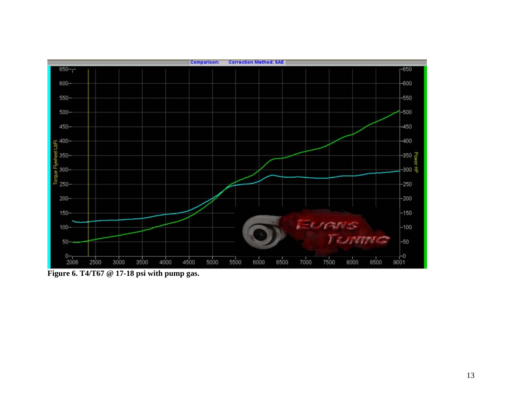

**Figure 6. T4/T67 @ 17-18 psi with pump gas.**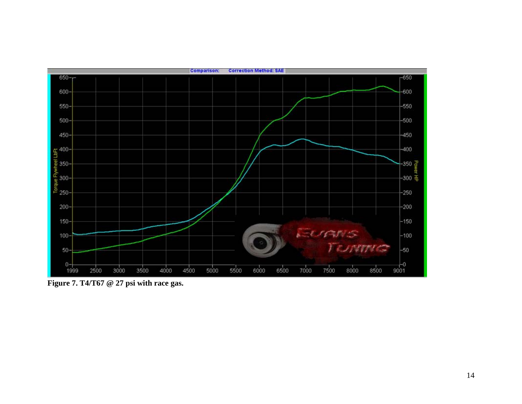

Figure 7. T4/T67 @ 27 psi with race gas.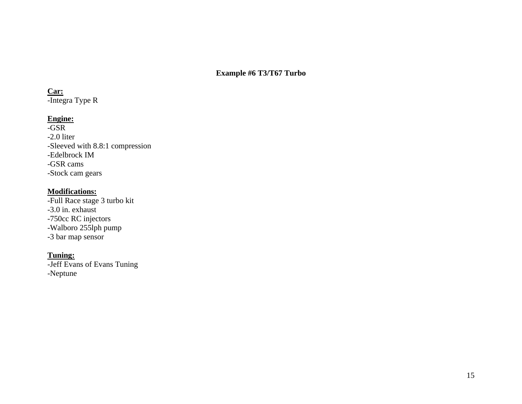### **Example #6 T3/T67 Turbo**

#### **Car:**

-Integra Type R

### **Engine:**

-GSR -2.0 liter -Sleeved with 8.8:1 compression -Edelbrock IM -GSR cams-Stock cam gears

### **Modifications:**

-Full Race stage 3 turbo kit -3.0 in. exhaust -750cc RC injectors -Walboro 255lph pump -3 bar map sensor

### **Tuning:**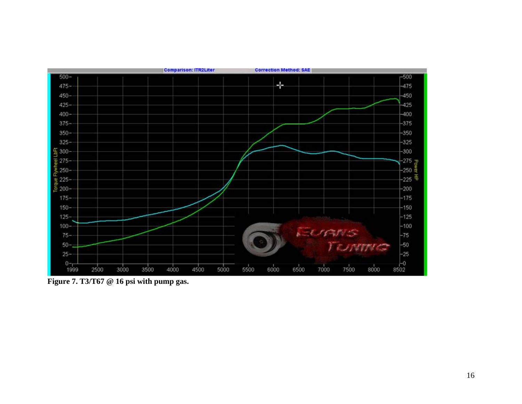

Figure 7. T3/T67 @ 16 psi with pump gas.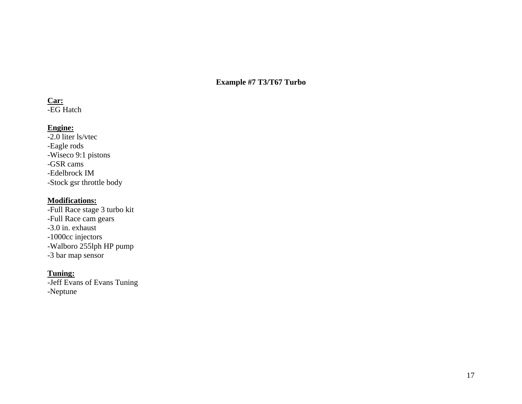### **Example #7 T3/T67 Turbo**

#### **Car:**

-EG Hatch

# **Engine:**

-2.0 liter ls/vtec -Eagle rods -Wiseco 9:1 pistons -GSR cams -Edelbrock IM -Stock gsr throttle body

### **Modifications:**

-Full Race stage 3 turbo kit -Full Race cam gears -3.0 in. exhaust -1000cc injectors -Walboro 255lph HP pump -3 bar map sensor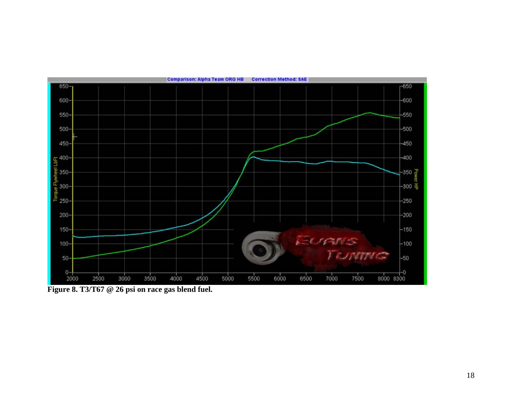

Figure 8. T3/T67 @ 26 psi on race gas blend fuel.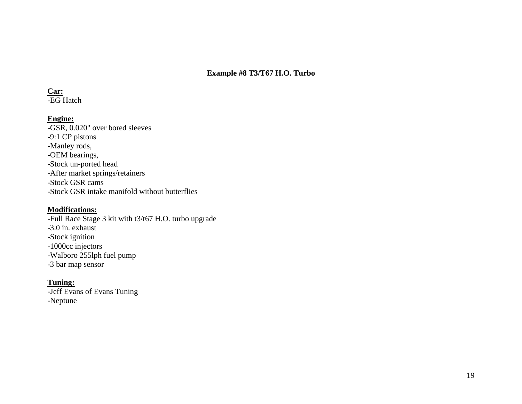### **Example #8 T3/T67 H.O. Turbo**

#### **Car:**

-EG Hatch

### **Engine:**

-GSR, 0.020" over bored sleeves -9:1 CP pistons -Manley rods, -OEM bearings, -Stock un-ported head -After market springs/retainers -Stock GSR cams -Stock GSR intake manifold without butterflies

### **Modifications:**

**-**Full Race Stage 3 kit with t3/t67 H.O. turbo upgrade -3.0 in. exhaust -Stock ignition -1000cc injectors -Walboro 255lph fuel pump -3 bar map sensor

# **Tuning:**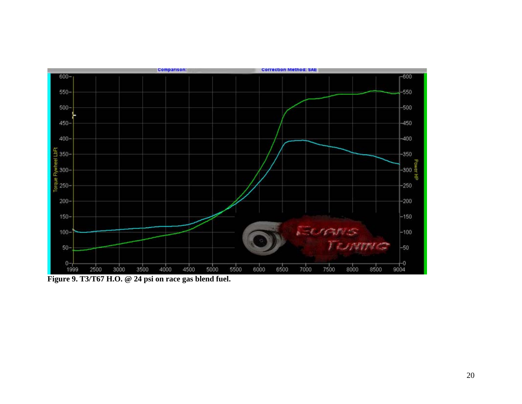

Figure 9. T3/T67 H.O. @ 24 psi on race gas blend fuel.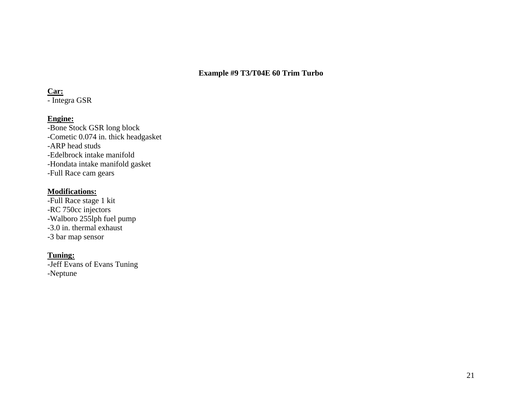### **Example #9 T3/T04E 60 Trim Turbo**

### **Car:**

- Integra GSR

### **Engine:**

-Bone Stock GSR long block -Cometic 0.074 in. thick headgasket -ARP head studs -Edelbrock intake manifold -Hondata intake manifold gasket -Full Race cam gears

### **Modifications:**

-Full Race stage 1 kit -RC 750cc injectors -Walboro 255lph fuel pump -3.0 in. thermal exhaust -3 bar map sensor

### **Tuning:**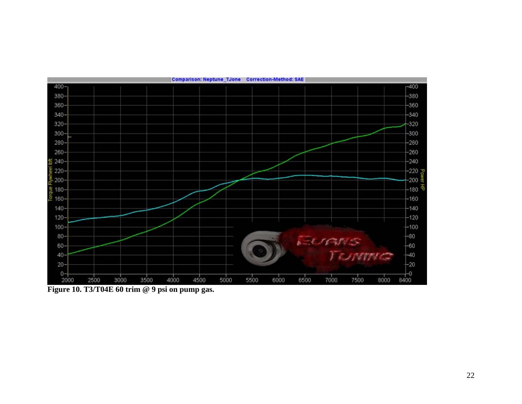

Figure 10. T3/T04E 60 trim @ 9 psi on pump gas.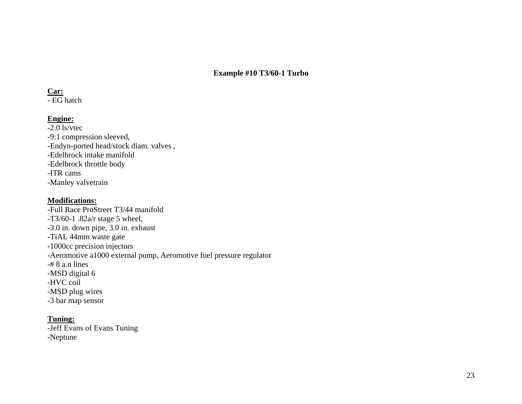**Example #10 T3/60-1 Turbo** 

#### **Car:**

- EG hatch

### **Engine:**

-2.0 ls/vtec -9:1 compression sleeved, -Endyn-ported head/stock diam. valves , -Edelbrock intake manifold -Edelbrock throttle body -ITR cams -Manley valvetrain

### **Modifications:**

-Full Race ProStreet T3/44 manifold -T3/60-1 .82a/r stage 5 wheel, -3.0 in. down pipe, 3.0 in. exhaust -TiAL 44mm waste gate -1000cc precision injectors -Aeromotive a1000 external pump, Aeromotive fuel pressure regulator -# 8 a.n lines -MSD digital 6 -HVC coil -MSD plug wires -3 bar map sensor

# **Tuning:**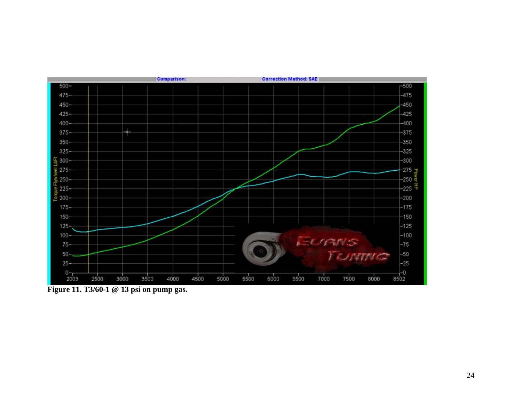

Figure 11. T3/60-1 @ 13 psi on pump gas.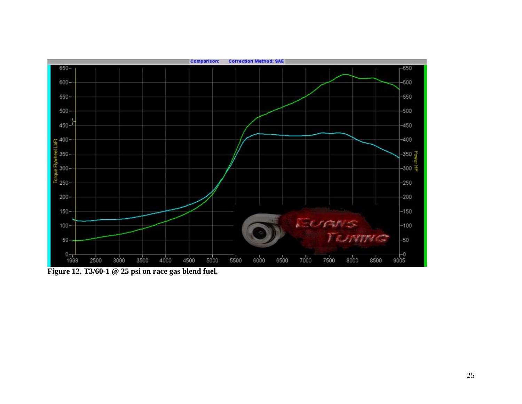

Figure 12. T3/60-1 @ 25 psi on race gas blend fuel.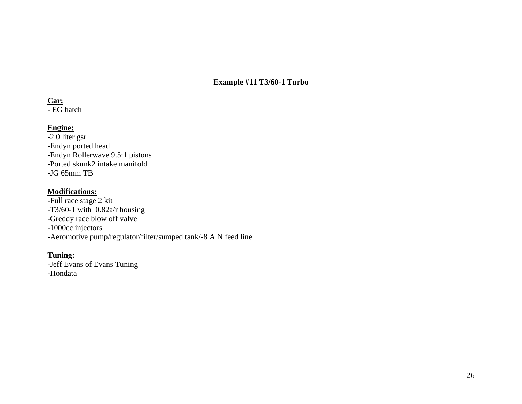**Example #11 T3/60-1 Turbo** 

#### **Car:**

- EG hatch

# **Engine:**

-2.0 liter gsr -Endyn ported head -Endyn Rollerwave 9.5:1 pistons -Ported skunk2 intake manifold -JG 65mm TB

### **Modifications:**

-Full race stage 2 kit -T3/60-1 with 0.82a/r housing -Greddy race blow off valve -1000cc injectors -Aeromotive pump/regulator/filter/sumped tank/-8 A.N feed line

# **Tuning:**

-Jeff Evans of Evans Tuning -Hondata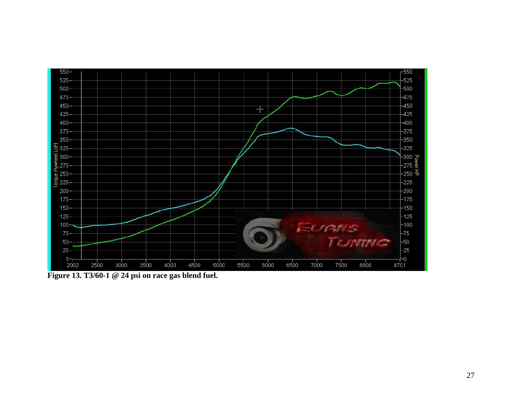

Figure 13. T3/60-1 @ 24 psi on race gas blend fuel.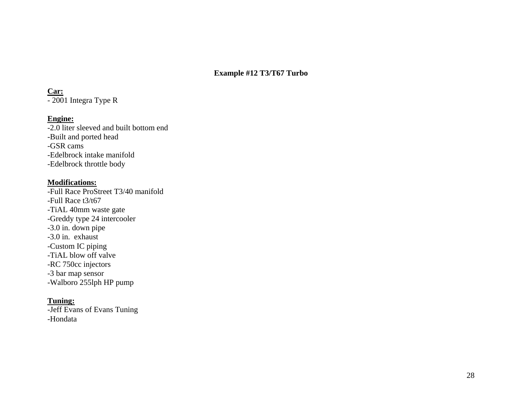#### **Example #12 T3/T67 Turbo**

#### **Car:**

- 2001 Integra Type R

### **Engine:**

-2.0 liter sleeved and built bottom end -Built and ported head -GSR cams-Edelbrock intake manifold -Edelbrock throttle body

#### **Modifications:**

-Full Race ProStreet T3/40 manifold -Full Race t3/t67 -TiAL 40mm waste gate -Greddy type 24 intercooler -3.0 in. down pipe -3.0 in. exhaust -Custom IC piping -TiAL blow off valve -RC 750cc injectors -3 bar map sensor -Walboro 255lph HP pump

#### **Tuning:**

-Jeff Evans of Evans Tuning -Hondata